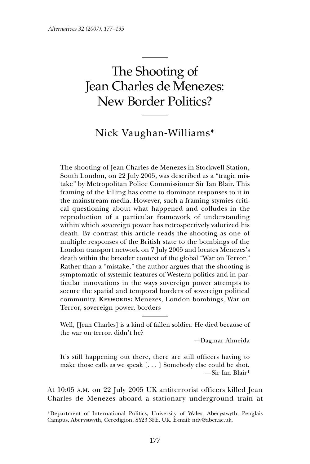# The Shooting of Jean Charles de Menezes: New Border Politics?

# Nick Vaughan-Williams\*

The shooting of Jean Charles de Menezes in Stockwell Station, South London, on 22 July 2005, was described as a "tragic mistake" by Metropolitan Police Commissioner Sir Ian Blair. This framing of the killing has come to dominate responses to it in the mainstream media. However, such a framing stymies critical questioning about what happened and colludes in the reproduction of a particular framework of understanding within which sovereign power has retrospectively valorized his death. By contrast this article reads the shooting as one of multiple responses of the British state to the bombings of the London transport network on 7 July 2005 and locates Menezes's death within the broader context of the global "War on Terror." Rather than a "mistake," the author argues that the shooting is symptomatic of systemic features of Western politics and in particular innovations in the ways sovereign power attempts to secure the spatial and temporal borders of sovereign political community. **KEYWORDS:** Menezes, London bombings, War on Terror, sovereign power, borders

Well, [Jean Charles] is a kind of fallen soldier. He died because of the war on terror, didn't he?

—Dagmar Almeida

It's still happening out there, there are still officers having to make those calls as we speak [. . . ] Somebody else could be shot. —Sir Ian Blair1

At 10:05 A.M. on 22 July 2005 UK antiterrorist officers killed Jean Charles de Menezes aboard a stationary underground train at

\*Department of International Politics, University of Wales, Aberystwyth, Penglais Campus, Aberystwyth, Ceredigion, SY23 3FE, UK. E-mail: ndv@aber.ac.uk.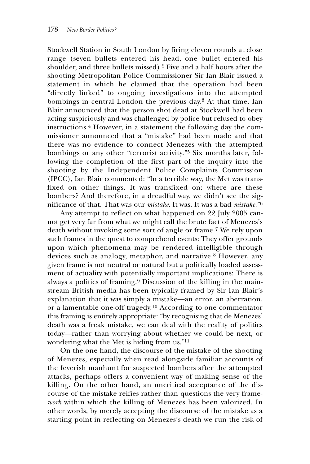Stockwell Station in South London by firing eleven rounds at close range (seven bullets entered his head, one bullet entered his shoulder, and three bullets missed).2 Five and a half hours after the shooting Metropolitan Police Commissioner Sir Ian Blair issued a statement in which he claimed that the operation had been "directly linked" to ongoing investigations into the attempted bombings in central London the previous day.3 At that time, Ian Blair announced that the person shot dead at Stockwell had been acting suspiciously and was challenged by police but refused to obey instructions.4 However, in a statement the following day the commissioner announced that a "mistake" had been made and that there was no evidence to connect Menezes with the attempted bombings or any other "terrorist activity."5 Six months later, following the completion of the first part of the inquiry into the shooting by the Independent Police Complaints Commission (IPCC), Ian Blair commented: "In a terrible way, the Met was transfixed on other things. It was transfixed on: where are these bombers? And therefore, in a dreadful way, we didn't see the significance of that. That was our *mistake.* It was. It was a bad *mistake.*"6

Any attempt to reflect on what happened on 22 July 2005 cannot get very far from what we might call the brute fact of Menezes's death without invoking some sort of angle or frame.7 We rely upon such frames in the quest to comprehend events: They offer grounds upon which phenomena may be rendered intelligible through devices such as analogy, metaphor, and narrative.8 However, any given frame is not neutral or natural but a politically loaded assessment of actuality with potentially important implications: There is always a politics of framing.9 Discussion of the killing in the mainstream British media has been typically framed by Sir Ian Blair's explanation that it was simply a mistake—an error, an aberration, or a lamentable one-off tragedy.10 According to one commentator this framing is entirely appropriate: "by recognising that de Menezes' death was a freak mistake, we can deal with the reality of politics today—rather than worrying about whether we could be next, or wondering what the Met is hiding from us."11

On the one hand, the discourse of the mistake of the shooting of Menezes, especially when read alongside familiar accounts of the feverish manhunt for suspected bombers after the attempted attacks, perhaps offers a convenient way of making sense of the killing. On the other hand, an uncritical acceptance of the discourse of the mistake reifies rather than questions the very frame*work* within which the killing of Menezes has been valorized. In other words, by merely accepting the discourse of the mistake as a starting point in reflecting on Menezes's death we run the risk of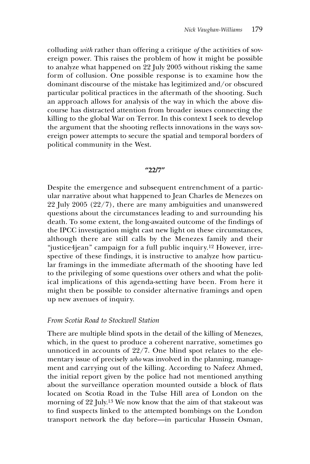colluding *with* rather than offering a critique *of* the activities of sovereign power. This raises the problem of how it might be possible to analyze what happened on 22 July 2005 without risking the same form of collusion. One possible response is to examine how the dominant discourse of the mistake has legitimized and/or obscured particular political practices in the aftermath of the shooting. Such an approach allows for analysis of the way in which the above discourse has distracted attention from broader issues connecting the killing to the global War on Terror. In this context I seek to develop the argument that the shooting reflects innovations in the ways sovereign power attempts to secure the spatial and temporal borders of political community in the West.

#### **"22/7"**

Despite the emergence and subsequent entrenchment of a particular narrative about what happened to Jean Charles de Menezes on 22 July 2005 (22/7), there are many ambiguities and unanswered questions about the circumstances leading to and surrounding his death. To some extent, the long-awaited outcome of the findings of the IPCC investigation might cast new light on these circumstances, although there are still calls by the Menezes family and their "justice4jean" campaign for a full public inquiry.<sup>12</sup> However, irrespective of these findings, it is instructive to analyze how particular framings in the immediate aftermath of the shooting have led to the privileging of some questions over others and what the political implications of this agenda-setting have been. From here it might then be possible to consider alternative framings and open up new avenues of inquiry.

### *From Scotia Road to Stockwell Station*

There are multiple blind spots in the detail of the killing of Menezes, which, in the quest to produce a coherent narrative, sometimes go unnoticed in accounts of 22/7. One blind spot relates to the elementary issue of precisely *who* was involved in the planning, management and carrying out of the killing. According to Nafeez Ahmed, the initial report given by the police had not mentioned anything about the surveillance operation mounted outside a block of flats located on Scotia Road in the Tulse Hill area of London on the morning of 22 July.13 We now know that the aim of that stakeout was to find suspects linked to the attempted bombings on the London transport network the day before—in particular Hussein Osman,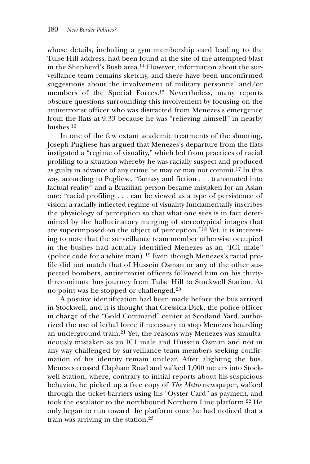whose details, including a gym membership card leading to the Tulse Hill address, had been found at the site of the attempted blast in the Shepherd's Bush area.14 However, information about the surveillance team remains sketchy, and there have been unconfirmed suggestions about the involvement of military personnel and/or members of the Special Forces.15 Nevertheless, many reports obscure questions surrounding this involvement by focusing on the antiterrorist officer who was distracted from Menezes's emergence from the flats at 9:33 because he was "relieving himself" in nearby bushes.16

In one of the few extant academic treatments of the shooting, Joseph Pugliese has argued that Menezes's departure from the flats instigated a "regime of visuality," which led from practices of racial profiling to a situation whereby he was racially suspect and produced as guilty in advance of any crime he may or may not commit.17 In this way, according to Pugliese, "fantasy and fiction . . . transmuted into factual reality" and a Brazilian person became mistaken for an Asian one: "racial profiling . . . can be viewed as a type of persistence of vision: a racially inflected regime of visuality fundamentally inscribes the physiology of perception so that what one sees is in fact determined by the hallucinatory merging of stereotypical images that are superimposed on the object of perception."18 Yet, it is interesting to note that the surveillance team member otherwise occupied in the bushes had actually identified Menezes as an "IC1 male" (police code for a white man).19 Even though Menezes's racial profile did not match that of Hussein Osman or any of the other suspected bombers, antiterrorist officers followed him on his thirtythree-minute bus journey from Tulse Hill to Stockwell Station. At no point was he stopped or challenged.20

A positive identification had been made before the bus arrived in Stockwell, and it is thought that Cressida Dick, the police officer in charge of the "Gold Command" center at Scotland Yard, authorized the use of lethal force if necessary to stop Menezes boarding an underground train.21 Yet, the reasons why Menezes was simultaneously mistaken as an IC1 male and Hussein Osman and not in any way challenged by surveillance team members seeking confirmation of his identity remain unclear. After alighting the bus, Menezes crossed Clapham Road and walked 1,000 meters into Stockwell Station, where, contrary to initial reports about his suspicious behavior, he picked up a free copy of *The Metro* newspaper, walked through the ticket barriers using his "Oyster Card" as payment, and took the escalator to the northbound Northern Line platform.22 He only began to run toward the platform once he had noticed that a train was arriving in the station.23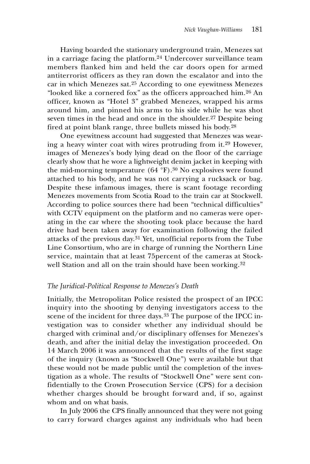Having boarded the stationary underground train, Menezes sat in a carriage facing the platform.24 Undercover surveillance team members flanked him and held the car doors open for armed antiterrorist officers as they ran down the escalator and into the car in which Menezes sat.25 According to one eyewitness Menezes "looked like a cornered fox" as the officers approached him.26 An officer, known as "Hotel 3" grabbed Menezes, wrapped his arms around him, and pinned his arms to his side while he was shot seven times in the head and once in the shoulder.<sup>27</sup> Despite being fired at point blank range, three bullets missed his body.28

One eyewitness account had suggested that Menezes was wearing a heavy winter coat with wires protruding from it.29 However, images of Menezes's body lying dead on the floor of the carriage clearly show that he wore a lightweight denim jacket in keeping with the mid-morning temperature  $(64 \degree F).^{30}$  No explosives were found attached to his body, and he was not carrying a rucksack or bag. Despite these infamous images, there is scant footage recording Menezes movements from Scotia Road to the train car at Stockwell. According to police sources there had been "technical difficulties" with CCTV equipment on the platform and no cameras were operating in the car where the shooting took place because the hard drive had been taken away for examination following the failed attacks of the previous day.31 Yet, unofficial reports from the Tube Line Consortium, who are in charge of running the Northern Line service, maintain that at least 75percent of the cameras at Stockwell Station and all on the train should have been working.32

#### *The Juridical-Political Response to Menezes's Death*

Initially, the Metropolitan Police resisted the prospect of an IPCC inquiry into the shooting by denying investigators access to the scene of the incident for three days.<sup>33</sup> The purpose of the IPCC investigation was to consider whether any individual should be charged with criminal and/or disciplinary offenses for Menezes's death, and after the initial delay the investigation proceeded. On 14 March 2006 it was announced that the results of the first stage of the inquiry (known as "Stockwell One") were available but that these would not be made public until the completion of the investigation as a whole. The results of "Stockwell One" were sent confidentially to the Crown Prosecution Service (CPS) for a decision whether charges should be brought forward and, if so, against whom and on what basis.

In July 2006 the CPS finally announced that they were not going to carry forward charges against any individuals who had been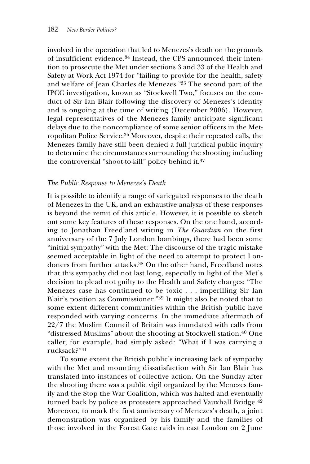involved in the operation that led to Menezes's death on the grounds of insufficient evidence.34 Instead, the CPS announced their intention to prosecute the Met under sections 3 and 33 of the Health and Safety at Work Act 1974 for "failing to provide for the health, safety and welfare of Jean Charles de Menezes."35 The second part of the IPCC investigation, known as "Stockwell Two," focuses on the conduct of Sir Ian Blair following the discovery of Menezes's identity and is ongoing at the time of writing (December 2006). However, legal representatives of the Menezes family anticipate significant delays due to the noncompliance of some senior officers in the Metropolitan Police Service.36 Moreover, despite their repeated calls, the Menezes family have still been denied a full juridical public inquiry to determine the circumstances surrounding the shooting including the controversial "shoot-to-kill" policy behind it.37

# *The Public Response to Menezes's Death*

It is possible to identify a range of variegated responses to the death of Menezes in the UK, and an exhaustive analysis of these responses is beyond the remit of this article. However, it is possible to sketch out some key features of these responses. On the one hand, according to Jonathan Freedland writing in *The Guardian* on the first anniversary of the 7 July London bombings, there had been some "initial sympathy" with the Met: The discourse of the tragic mistake seemed acceptable in light of the need to attempt to protect Londoners from further attacks.<sup>38</sup> On the other hand, Freedland notes that this sympathy did not last long, especially in light of the Met's decision to plead not guilty to the Health and Safety charges: "The Menezes case has continued to be toxic . . . imperilling Sir Ian Blair's position as Commissioner."39 It might also be noted that to some extent different communities within the British public have responded with varying concerns. In the immediate aftermath of 22/7 the Muslim Council of Britain was inundated with calls from "distressed Muslims" about the shooting at Stockwell station.40 One caller, for example, had simply asked: "What if I was carrying a rucksack?"41

To some extent the British public's increasing lack of sympathy with the Met and mounting dissatisfaction with Sir Ian Blair has translated into instances of collective action. On the Sunday after the shooting there was a public vigil organized by the Menezes family and the Stop the War Coalition, which was halted and eventually turned back by police as protesters approached Vauxhall Bridge.<sup>42</sup> Moreover, to mark the first anniversary of Menezes's death, a joint demonstration was organized by his family and the families of those involved in the Forest Gate raids in east London on 2 June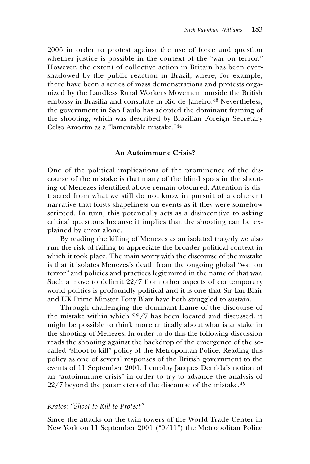2006 in order to protest against the use of force and question whether justice is possible in the context of the "war on terror." However, the extent of collective action in Britain has been overshadowed by the public reaction in Brazil, where, for example, there have been a series of mass demonstrations and protests organized by the Landless Rural Workers Movement outside the British embassy in Brasilia and consulate in Rio de Janeiro.<sup>43</sup> Nevertheless, the government in Sao Paulo has adopted the dominant framing of the shooting, which was described by Brazilian Foreign Secretary Celso Amorim as a "lamentable mistake."44

#### **An Autoimmune Crisis?**

One of the political implications of the prominence of the discourse of the mistake is that many of the blind spots in the shooting of Menezes identified above remain obscured. Attention is distracted from what we still do not know in pursuit of a coherent narrative that foists shapeliness on events as if they were somehow scripted. In turn, this potentially acts as a disincentive to asking critical questions because it implies that the shooting can be explained by error alone.

By reading the killing of Menezes as an isolated tragedy we also run the risk of failing to appreciate the broader political context in which it took place. The main worry with the discourse of the mistake is that it isolates Menezes's death from the ongoing global "war on terror" and policies and practices legitimized in the name of that war. Such a move to delimit 22/7 from other aspects of contemporary world politics is profoundly political and it is one that Sir Ian Blair and UK Prime Minster Tony Blair have both struggled to sustain.

Through challenging the dominant frame of the discourse of the mistake within which 22/7 has been located and discussed, it might be possible to think more critically about what is at stake in the shooting of Menezes. In order to do this the following discussion reads the shooting against the backdrop of the emergence of the socalled "shoot-to-kill" policy of the Metropolitan Police. Reading this policy as one of several responses of the British government to the events of 11 September 2001, I employ Jacques Derrida's notion of an "autoimmune crisis" in order to try to advance the analysis of 22/7 beyond the parameters of the discourse of the mistake.45

#### *Kratos: "Shoot to Kill to Protect"*

Since the attacks on the twin towers of the World Trade Center in New York on 11 September 2001 ("9/11") the Metropolitan Police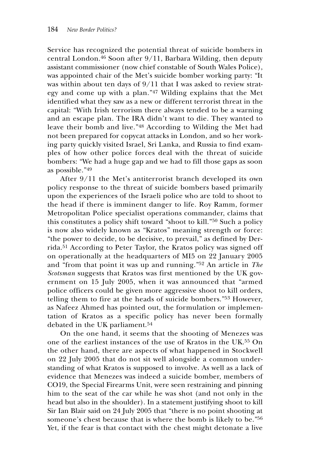Service has recognized the potential threat of suicide bombers in central London.<sup>46</sup> Soon after  $9/11$ , Barbara Wilding, then deputy assistant commissioner (now chief constable of South Wales Police), was appointed chair of the Met's suicide bomber working party: "It was within about ten days of 9/11 that I was asked to review strategy and come up with a plan."47 Wilding explains that the Met identified what they saw as a new or different terrorist threat in the capital: "With Irish terrorism there always tended to be a warning and an escape plan. The IRA didn't want to die. They wanted to leave their bomb and live."48 According to Wilding the Met had not been prepared for copycat attacks in London, and so her working party quickly visited Israel, Sri Lanka, and Russia to find examples of how other police forces deal with the threat of suicide bombers: "We had a huge gap and we had to fill those gaps as soon as possible."49

After 9/11 the Met's antiterrorist branch developed its own policy response to the threat of suicide bombers based primarily upon the experiences of the Israeli police who are told to shoot to the head if there is imminent danger to life. Roy Ramm, former Metropolitan Police specialist operations commander, claims that this constitutes a policy shift toward "shoot to kill."50 Such a policy is now also widely known as "Kratos" meaning strength or force: "the power to decide, to be decisive, to prevail," as defined by Derrida.51 According to Peter Taylor, the Kratos policy was signed off on operationally at the headquarters of MI5 on 22 January 2005 and "from that point it was up and running."52 An article in *The Scotsman* suggests that Kratos was first mentioned by the UK government on 15 July 2005, when it was announced that "armed police officers could be given more aggressive shoot to kill orders, telling them to fire at the heads of suicide bombers."53 However, as Nafeez Ahmed has pointed out, the formulation or implementation of Kratos as a specific policy has never been formally debated in the UK parliament.54

On the one hand, it seems that the shooting of Menezes was one of the earliest instances of the use of Kratos in the UK.55 On the other hand, there are aspects of what happened in Stockwell on 22 July 2005 that do not sit well alongside a common understanding of what Kratos is supposed to involve. As well as a lack of evidence that Menezes was indeed a suicide bomber, members of CO19, the Special Firearms Unit, were seen restraining and pinning him to the seat of the car while he was shot (and not only in the head but also in the shoulder). In a statement justifying shoot to kill Sir Ian Blair said on 24 July 2005 that "there is no point shooting at someone's chest because that is where the bomb is likely to be."56 Yet, if the fear is that contact with the chest might detonate a live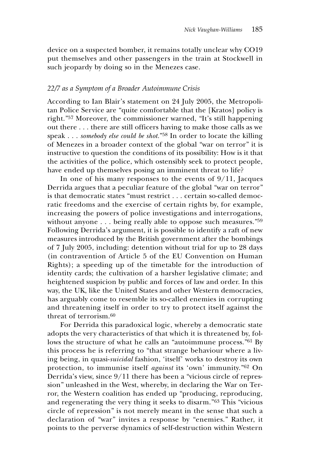device on a suspected bomber, it remains totally unclear why CO19 put themselves and other passengers in the train at Stockwell in such jeopardy by doing so in the Menezes case.

#### *22/7 as a Symptom of a Broader Autoimmune Crisis*

According to Ian Blair's statement on 24 July 2005, the Metropolitan Police Service are "quite comfortable that the [Kratos] policy is right."57 Moreover, the commissioner warned, "It's still happening out there . . . there are still officers having to make those calls as we speak . . . *somebody else could be shot.*"58 In order to locate the killing of Menezes in a broader context of the global "war on terror" it is instructive to question the conditions of its possibility: How is it that the activities of the police, which ostensibly seek to protect people, have ended up themselves posing an imminent threat to life?

In one of his many responses to the events of 9/11, Jacques Derrida argues that a peculiar feature of the global "war on terror" is that democratic states "must restrict . . . certain so-called democratic freedoms and the exercise of certain rights by, for example, increasing the powers of police investigations and interrogations, without anyone . . . being really able to oppose such measures."<sup>59</sup> Following Derrida's argument, it is possible to identify a raft of new measures introduced by the British government after the bombings of 7 July 2005, including: detention without trial for up to 28 days (in contravention of Article 5 of the EU Convention on Human Rights); a speeding up of the timetable for the introduction of identity cards; the cultivation of a harsher legislative climate; and heightened suspicion by public and forces of law and order. In this way, the UK, like the United States and other Western democracies, has arguably come to resemble its so-called enemies in corrupting and threatening itself in order to try to protect itself against the threat of terrorism.60

For Derrida this paradoxical logic, whereby a democratic state adopts the very characteristics of that which it is threatened by, follows the structure of what he calls an "autoimmune process."61 By this process he is referring to "that strange behaviour where a living being, in quasi-*suicidal* fashion, 'itself' works to destroy its own protection, to immunise itself *against* its 'own' immunity."62 On Derrida's view, since 9/11 there has been a "vicious circle of repression" unleashed in the West, whereby, in declaring the War on Terror, the Western coalition has ended up "producing, reproducing, and regenerating the very thing it seeks to disarm."63 This "vicious circle of repression" is not merely meant in the sense that such a declaration of "war" invites a response by "enemies." Rather, it points to the perverse dynamics of self-destruction within Western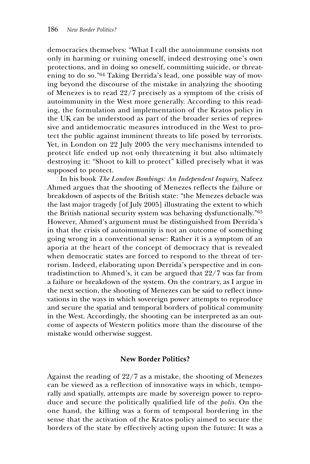democracies themselves: "What I call the autoimmune consists not only in harming or ruining oneself, indeed destroying one's own protections, and in doing so oneself, committing suicide, or threatening to do so."64 Taking Derrida's lead, one possible way of moving beyond the discourse of the mistake in analyzing the shooting of Menezes is to read 22/7 precisely as a symptom of the crisis of autoimmunity in the West more generally. According to this reading, the formulation and implementation of the Kratos policy in the UK can be understood as part of the broader series of repressive and antidemocratic measures introduced in the West to protect the public against imminent threats to life posed by terrorists. Yet, in London on 22 July 2005 the very mechanisms intended to protect life ended up not only threatening it but also ultimately destroying it: "Shoot to kill to protect" killed precisely what it was supposed to protect.

In his book *The London Bombings: An Independent Inquiry,* Nafeez Ahmed argues that the shooting of Menezes reflects the failure or breakdown of aspects of the British state: "the Menezes debacle was the last major tragedy [of July 2005] illustrating the extent to which the British national security system was behaving dysfunctionally."65 However, Ahmed's argument must be distinguished from Derrida's in that the crisis of autoimmunity is not an outcome of something going wrong in a conventional sense: Rather it is a symptom of an aporia at the heart of the concept of democracy that is revealed when democratic states are forced to respond to the threat of terrorism. Indeed, elaborating upon Derrida's perspective and in contradistinction to Ahmed's, it can be argued that 22/7 was far from a failure or breakdown of the system. On the contrary, as I argue in the next section, the shooting of Menezes can be said to reflect innovations in the ways in which sovereign power attempts to reproduce and secure the spatial and temporal borders of political community in the West. Accordingly, the shooting can be interpreted as an outcome of aspects of Western politics more than the discourse of the mistake would otherwise suggest.

#### **New Border Politics?**

Against the reading of 22/7 as a mistake, the shooting of Menezes can be viewed as a reflection of innovative ways in which, temporally and spatially, attempts are made by sovereign power to reproduce and secure the politically qualified life of the *polis.* On the one hand, the killing was a form of temporal bordering in the sense that the activation of the Kratos policy aimed to secure the borders of the state by effectively acting upon the future: It was a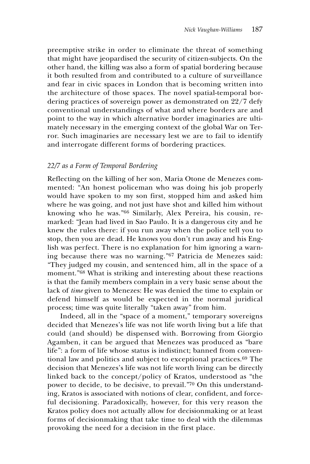preemptive strike in order to eliminate the threat of something that might have jeopardised the security of citizen-subjects. On the other hand, the killing was also a form of spatial bordering because it both resulted from and contributed to a culture of surveillance and fear in civic spaces in London that is becoming written into the architecture of those spaces. The novel spatial-temporal bordering practices of sovereign power as demonstrated on 22/7 defy conventional understandings of what and where borders are and point to the way in which alternative border imaginaries are ultimately necessary in the emerging context of the global War on Terror. Such imaginaries are necessary lest we are to fail to identify and interrogate different forms of bordering practices.

# *22/7 as a Form of Temporal Bordering*

Reflecting on the killing of her son, Maria Otone de Menezes commented: "An honest policeman who was doing his job properly would have spoken to my son first, stopped him and asked him where he was going, and not just have shot and killed him without knowing who he was."66 Similarly, Alex Pereira, his cousin, remarked: "Jean had lived in Sao Paulo. It is a dangerous city and he knew the rules there: if you run away when the police tell you to stop, then you are dead. He knows you don't run away and his English was perfect. There is no explanation for him ignoring a warning because there was no warning."67 Patricia de Menezes said: "They judged my cousin, and sentenced him, all in the space of a moment."68 What is striking and interesting about these reactions is that the family members complain in a very basic sense about the lack of *time* given to Menezes: He was denied the time to explain or defend himself as would be expected in the normal juridical process; time was quite literally "taken away" from him.

Indeed, all in the "space of a moment," temporary sovereigns decided that Menezes's life was not life worth living but a life that could (and should) be dispensed with. Borrowing from Giorgio Agamben, it can be argued that Menezes was produced as "bare life": a form of life whose status is indistinct; banned from conventional law and politics and subject to exceptional practices.69 The decision that Menezes's life was not life worth living can be directly linked back to the concept/policy of Kratos, understood as "the power to decide, to be decisive, to prevail."70 On this understanding, Kratos is associated with notions of clear, confident, and forceful decisioning. Paradoxically, however, for this very reason the Kratos policy does not actually allow for decisionmaking or at least forms of decisionmaking that take time to deal with the dilemmas provoking the need for a decision in the first place.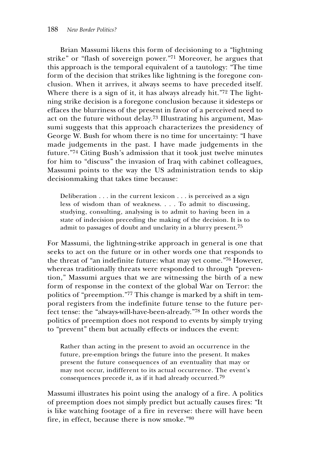Brian Massumi likens this form of decisioning to a "lightning strike" or "flash of sovereign power."71 Moreover, he argues that this approach is the temporal equivalent of a tautology: "The time form of the decision that strikes like lightning is the foregone conclusion. When it arrives, it always seems to have preceded itself. Where there is a sign of it, it has always already hit."72 The lightning strike decision is a foregone conclusion because it sidesteps or effaces the blurriness of the present in favor of a perceived need to act on the future without delay.73 Illustrating his argument, Massumi suggests that this approach characterizes the presidency of George W. Bush for whom there is no time for uncertainty: "I have made judgements in the past. I have made judgements in the future."74 Citing Bush's admission that it took just twelve minutes for him to "discuss" the invasion of Iraq with cabinet colleagues, Massumi points to the way the US administration tends to skip decisionmaking that takes time because:

Deliberation . . . in the current lexicon . . . is perceived as a sign less of wisdom than of weakness. . . . To admit to discussing, studying, consulting, analysing is to admit to having been in a state of indecision preceding the making of the decision. It is to admit to passages of doubt and unclarity in a blurry present.75

For Massumi, the lightning-strike approach in general is one that seeks to act on the future or in other words one that responds to the threat of "an indefinite future: what may yet come."76 However, whereas traditionally threats were responded to through "prevention," Massumi argues that we are witnessing the birth of a new form of response in the context of the global War on Terror: the politics of "preemption."77 This change is marked by a shift in temporal registers from the indefinite future tense to the future perfect tense: the "always-will-have-been-already."78 In other words the politics of preemption does not respond to events by simply trying to "prevent" them but actually effects or induces the event:

Rather than acting in the present to avoid an occurrence in the future, pre-emption brings the future into the present. It makes present the future consequences of an eventuality that may or may not occur, indifferent to its actual occurrence. The event's consequences precede it, as if it had already occurred.79

Massumi illustrates his point using the analogy of a fire. A politics of preemption does not simply predict but actually causes fires: "It is like watching footage of a fire in reverse: there will have been fire, in effect, because there is now smoke."80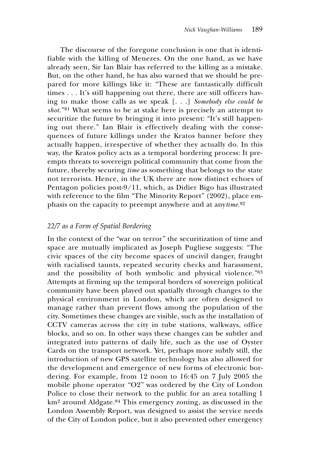The discourse of the foregone conclusion is one that is identifiable with the killing of Menezes. On the one hand, as we have already seen, Sir Ian Blair has referred to the killing as a mistake. But, on the other hand, he has also warned that we should be prepared for more killings like it: "These are fantastically difficult times . . . It's still happening out there, there are still officers having to make those calls as we speak [. . .] *Somebody else could be shot.*"81 What seems to be at stake here is precisely an attempt to securitize the future by bringing it into present: "It's still happening out there." Ian Blair is effectively dealing with the consequences of future killings under the Kratos banner before they actually happen, irrespective of whether they actually do. In this way, the Kratos policy acts as a temporal bordering process: It preempts threats to sovereign political community that come from the future, thereby securing *time* as something that belongs to the state not terrorists. Hence, in the UK there are now distinct echoes of Pentagon policies post-9/11, which, as Didier Bigo has illustrated with reference to the film "The Minority Report" (2002), place emphasis on the capacity to preempt anywhere and at any*time.*<sup>82</sup>

# *22/7 as a Form of Spatial Bordering*

In the context of the "war on terror" the securitization of time and space are mutually implicated as Joseph Pugliese suggests: "The civic spaces of the city become spaces of uncivil danger, fraught with racialised taunts, repeated security checks and harassment, and the possibility of both symbolic and physical violence."83 Attempts at firming up the temporal borders of sovereign political community have been played out spatially through changes to the physical environment in London, which are often designed to manage rather than prevent flows among the population of the city. Sometimes these changes are visible, such as the installation of CCTV cameras across the city in tube stations, walkways, office blocks, and so on. In other ways these changes can be subtler and integrated into patterns of daily life, such as the use of Oyster Cards on the transport network. Yet, perhaps more subtly still, the introduction of new GPS satellite technology has also allowed for the development and emergence of new forms of electronic bordering. For example, from 12 noon to 16:45 on 7 July 2005 the mobile phone operator "O2" was ordered by the City of London Police to close their network to the public for an area totalling 1 km2 around Aldgate.84 This emergency zoning, as discussed in the London Assembly Report, was designed to assist the service needs of the City of London police, but it also prevented other emergency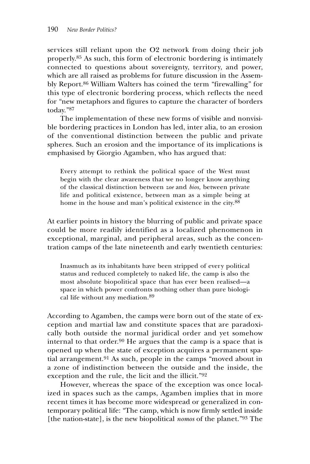services still reliant upon the O2 network from doing their job properly.85 As such, this form of electronic bordering is intimately connected to questions about sovereignty, territory, and power, which are all raised as problems for future discussion in the Assembly Report.86 William Walters has coined the term "firewalling" for this type of electronic bordering process, which reflects the need for "new metaphors and figures to capture the character of borders today."87

The implementation of these new forms of visible and nonvisible bordering practices in London has led, inter alia, to an erosion of the conventional distinction between the public and private spheres. Such an erosion and the importance of its implications is emphasised by Giorgio Agamben, who has argued that:

Every attempt to rethink the political space of the West must begin with the clear awareness that we no longer know anything of the classical distinction between *zoe* and *bios,* between private life and political existence, between man as a simple being at home in the house and man's political existence in the city.88

At earlier points in history the blurring of public and private space could be more readily identified as a localized phenomenon in exceptional, marginal, and peripheral areas, such as the concentration camps of the late nineteenth and early twentieth centuries:

Inasmuch as its inhabitants have been stripped of every political status and reduced completely to naked life, the camp is also the most absolute biopolitical space that has ever been realised—a space in which power confronts nothing other than pure biological life without any mediation.89

According to Agamben, the camps were born out of the state of exception and martial law and constitute spaces that are paradoxically both outside the normal juridical order and yet somehow internal to that order.<sup>90</sup> He argues that the camp is a space that is opened up when the state of exception acquires a permanent spatial arrangement.91 As such, people in the camps "moved about in a zone of indistinction between the outside and the inside, the exception and the rule, the licit and the illicit."92

However, whereas the space of the exception was once localized in spaces such as the camps, Agamben implies that in more recent times it has become more widespread or generalized in contemporary political life: "The camp, which is now firmly settled inside [the nation-state], is the new biopolitical *nomos* of the planet."93 The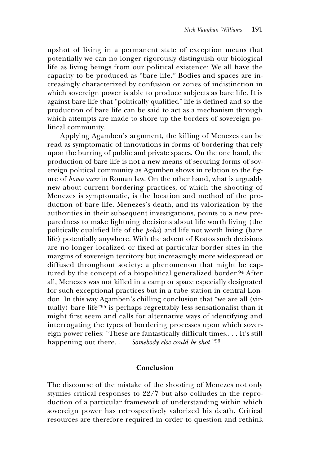upshot of living in a permanent state of exception means that potentially we can no longer rigorously distinguish our biological life as living beings from our political existence: We all have the capacity to be produced as "bare life." Bodies and spaces are increasingly characterized by confusion or zones of indistinction in which sovereign power is able to produce subjects as bare life. It is against bare life that "politically qualified" life is defined and so the production of bare life can be said to act as a mechanism through which attempts are made to shore up the borders of sovereign political community.

Applying Agamben's argument, the killing of Menezes can be read as symptomatic of innovations in forms of bordering that rely upon the burring of public and private spaces. On the one hand, the production of bare life is not a new means of securing forms of sovereign political community as Agamben shows in relation to the figure of *homo sacer* in Roman law. On the other hand, what is arguably new about current bordering practices, of which the shooting of Menezes is symptomatic, is the location and method of the production of bare life. Menezes's death, and its valorization by the authorities in their subsequent investigations, points to a new preparedness to make lightning decisions about life worth living (the politically qualified life of the *polis*) and life not worth living (bare life) potentially anywhere. With the advent of Kratos such decisions are no longer localized or fixed at particular border sites in the margins of sovereign territory but increasingly more widespread or diffused throughout society: a phenomenon that might be captured by the concept of a biopolitical generalized border.<sup>94</sup> After all, Menezes was not killed in a camp or space especially designated for such exceptional practices but in a tube station in central London. In this way Agamben's chilling conclusion that "we are all (virtually) bare life"95 is perhaps regrettably less sensationalist than it might first seem and calls for alternative ways of identifying and interrogating the types of bordering processes upon which sovereign power relies: "These are fantastically difficult times.. . . It's still happening out there. . . . *Somebody else could be shot.*"96

#### **Conclusion**

The discourse of the mistake of the shooting of Menezes not only stymies critical responses to 22/7 but also colludes in the reproduction of a particular framework of understanding within which sovereign power has retrospectively valorized his death. Critical resources are therefore required in order to question and rethink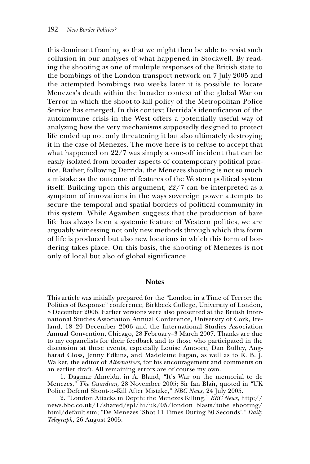this dominant framing so that we might then be able to resist such collusion in our analyses of what happened in Stockwell. By reading the shooting as one of multiple responses of the British state to the bombings of the London transport network on 7 July 2005 and the attempted bombings two weeks later it is possible to locate Menezes's death within the broader context of the global War on Terror in which the shoot-to-kill policy of the Metropolitan Police Service has emerged. In this context Derrida's identification of the autoimmune crisis in the West offers a potentially useful way of analyzing how the very mechanisms supposedly designed to protect life ended up not only threatening it but also ultimately destroying it in the case of Menezes. The move here is to refuse to accept that what happened on 22/7 was simply a one-off incident that can be easily isolated from broader aspects of contemporary political practice. Rather, following Derrida, the Menezes shooting is not so much a mistake as the outcome of features of the Western political system itself. Building upon this argument, 22/7 can be interpreted as a symptom of innovations in the ways sovereign power attempts to secure the temporal and spatial borders of political community in this system. While Agamben suggests that the production of bare life has always been a systemic feature of Western politics, we are arguably witnessing not only new methods through which this form of life is produced but also new locations in which this form of bordering takes place. On this basis, the shooting of Menezes is not only of local but also of global significance.

#### **Notes**

This article was initially prepared for the "London in a Time of Terror: the Politics of Response" conference, Birkbeck College, University of London, 8 December 2006. Earlier versions were also presented at the British International Studies Association Annual Conference, University of Cork, Ireland, 18–20 December 2006 and the International Studies Association Annual Convention, Chicago, 28 February–3 March 2007. Thanks are due to my copanelists for their feedback and to those who participated in the discussion at these events, especially Louise Amoore, Dan Bulley, Angharad Closs, Jenny Edkins, and Madeleine Fagan, as well as to R. B. J. Walker, the editor of *Alternatives,* for his encouragement and comments on an earlier draft. All remaining errors are of course my own.

1. Dagmar Almeida, in A. Bland, "It's War on the memorial to de Menezes," *The Guardian,* 28 November 2005; Sir Ian Blair, quoted in "UK Police Defend Shoot-to-Kill After Mistake," *NBC News,* 24 July 2005.

2. "London Attacks in Depth: the Menezes Killing," *BBC News,* http:// news.bbc.co.uk/1/shared/spl/hi/uk/05/london\_blasts/tube\_shooting/ html/default.stm; "De Menezes 'Shot 11 Times During 30 Seconds'," *Daily Telegraph,* 26 August 2005.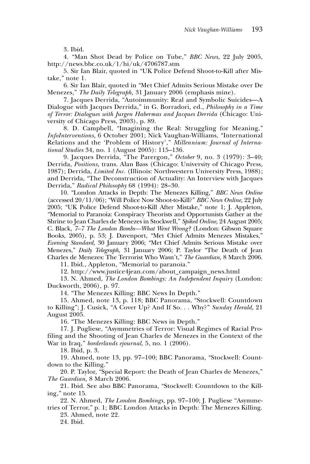3. Ibid.

4. "Man Shot Dead by Police on Tube," *BBC News,* 22 July 2005, http://news.bbc.co.uk/1/hi/uk/4706787.stm

5. Sir Ian Blair, quoted in "UK Police Defend Shoot-to-Kill after Mistake," note 1.

6. Sir Ian Blair, quoted in "Met Chief Admits Serious Mistake over De Menezes," *The Daily Telegraph,* 31 January 2006 (emphasis mine).

7. Jacques Derrida, "Autoimmunity: Real and Symbolic Suicides—A Dialogue with Jacques Derrida," in G. Borradori, ed., *Philosophy in a Time of Terror: Dialogues with Jurgen Habermas and Jacques Derrida* (Chicago: University of Chicago Press, 2003), p. 89.

8. D. Campbell, "Imagining the Real: Struggling for Meaning," *InfoInterventions,* 6 October 2001; Nick Vaughan-Williams, "International Relations and the 'Problem of History'," *Millennium: Journal of International Studies* 34, no. 1 (August 2005): 115–136.

9. Jacques Derrida, "The Parergon," *October* 9, no. 3 (1979): 3–40; Derrida, *Positions,* trans. Alan Bass (Chicago: University of Chicago Press, 1987); Derrida, *Limited Inc.* (Illinois: Northwestern University Press, 1988); and Derrida, "The Deconstruction of Actuality: An Interview with Jacques Derrida," *Radical Philosophy* 68 (1994): 28–30.

10. "London Attacks in Depth: The Menezes Killing," *BBC News Online* (accessed 20/11/06); "Will Police Now Shoot-to-Kill?" *BBC News Online,* 22 July 2005; "UK Police Defend Shoot-to-Kill After Mistake," note 1; J. Appleton, "Memorial to Paranoia: Conspiracy Theorists and Opportunists Gather at the Shrine to Jean Charles de Menezes in Stockwell," *Spiked Online,* 24 August 2005; C. Black, *7–7 The London Bombs—What Went Wrong?* (London: Gibson Square Books, 2005), p. 53; J. Davenport, "Met Chief Admits Menezes Mistakes," *Evening Standard,* 30 January 2006; "Met Chief Admits Serious Mistake over Menezes," *Daily Telegraph,* 31 January 2006; P. Taylor "The Death of Jean Charles de Menezes: The Terrorist Who Wasn't," *The Guardian,* 8 March 2006.

11. Ibid., Appleton, "Memorial to paranoia."

12. http://www.justice4jean.com/about\_campaign\_news.html

13. N. Ahmed, *The London Bombings: An Independent Inquiry* (London: Duckworth, 2006), p. 97.

14. "The Menezes Killing: BBC News In Depth."

15. Ahmed, note 13, p. 118; BBC Panorama, "Stockwell: Countdown to Killing"; J. Cusick, "A Cover Up? And If So. . . Why?" *Sunday Herald,* 21 August 2005.

16. "The Menezes Killing: BBC News in Depth."

17. J. Pugliese, "Asymmetries of Terror: Visual Regimes of Racial Profiling and the Shooting of Jean Charles de Menezes in the Context of the War in Iraq," *borderlands ejournal,* 5, no. 1 (2006).

18. Ibid, p. 3.

19. Ahmed, note 13, pp. 97–100; BBC Panorama, "Stockwell: Countdown to the Killing."

20. P. Taylor, "Special Report: the Death of Jean Charles de Menezes," *The Guardian,* 8 March 2006.

21. Ibid. See also BBC Panorama, "Stockwell: Countdown to the Killing," note 15.

22. N. Ahmed, *The London Bombings,* pp. 97–100; J. Pugliese "Asymmetries of Terror," p. 1; BBC London Attacks in Depth: The Menezes Killing.

23. Ahmed, note 22.

24. Ibid.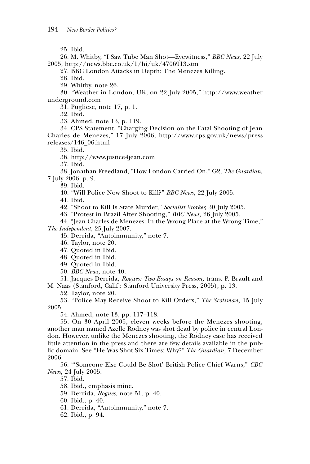25. Ibid.

26. M. Whitby, "I Saw Tube Man Shot—Eyewitness," *BBC News,* 22 July 2005, http://news.bbc.co.uk/1/hi/uk/4706913.stm

27. BBC London Attacks in Depth: The Menezes Killing.

28. Ibid.

29. Whitby, note 26.

30. "Weather in London, UK, on 22 July 2005," http://www.weather underground.com

31. Pugliese, note 17, p. 1.

32. Ibid.

33. Ahmed, note 13, p. 119.

34. CPS Statement, "Charging Decision on the Fatal Shooting of Jean Charles de Menezes," 17 July 2006, http://www.cps.gov.uk/news/press releases/146\_06.html

35. Ibid.

36. http://www.justice4jean.com

37. Ibid.

38. Jonathan Freedland, "How London Carried On," G2, *The Guardian,* 7 July 2006, p. 9.

39. Ibid.

40. "Will Police Now Shoot to Kill?" *BBC News,* 22 July 2005.

41. Ibid.

42. "Shoot to Kill Is State Murder," *Socialist Worker,* 30 July 2005.

43. "Protest in Brazil After Shooting," *BBC News,* 26 July 2005.

44. "Jean Charles de Menezes: In the Wrong Place at the Wrong Time," *The Independent,* 25 July 2007.

45. Derrida, "Autoimmunity," note 7.

46. Taylor, note 20.

47. Quoted in Ibid.

48. Quoted in Ibid.

49. Quoted in Ibid.

50. *BBC News,* note 40.

51. Jacques Derrida, *Rogues: Two Essays on Reason,* trans. P. Brault and M. Naas (Stanford, Calif.: Stanford University Press, 2005), p. 13.

52. Taylor, note 20.

53. "Police May Receive Shoot to Kill Orders," *The Scotsman,* 15 July 2005.

54. Ahmed, note 13, pp. 117–118.

55. On 30 April 2005, eleven weeks before the Menezes shooting, another man named Azelle Rodney was shot dead by police in central London. However, unlike the Menezes shooting, the Rodney case has received little attention in the press and there are few details available in the public domain. See "He Was Shot Six Times: Why?" *The Guardian,* 7 December 2006.

56. "'Someone Else Could Be Shot' British Police Chief Warns," *CBC News,* 24 July 2005.

57. Ibid.

58. Ibid., emphasis mine.

59. Derrida, *Rogues,* note 51, p. 40.

60. Ibid., p. 40.

61. Derrida, "Autoimmunity," note 7.

62. Ibid., p. 94.